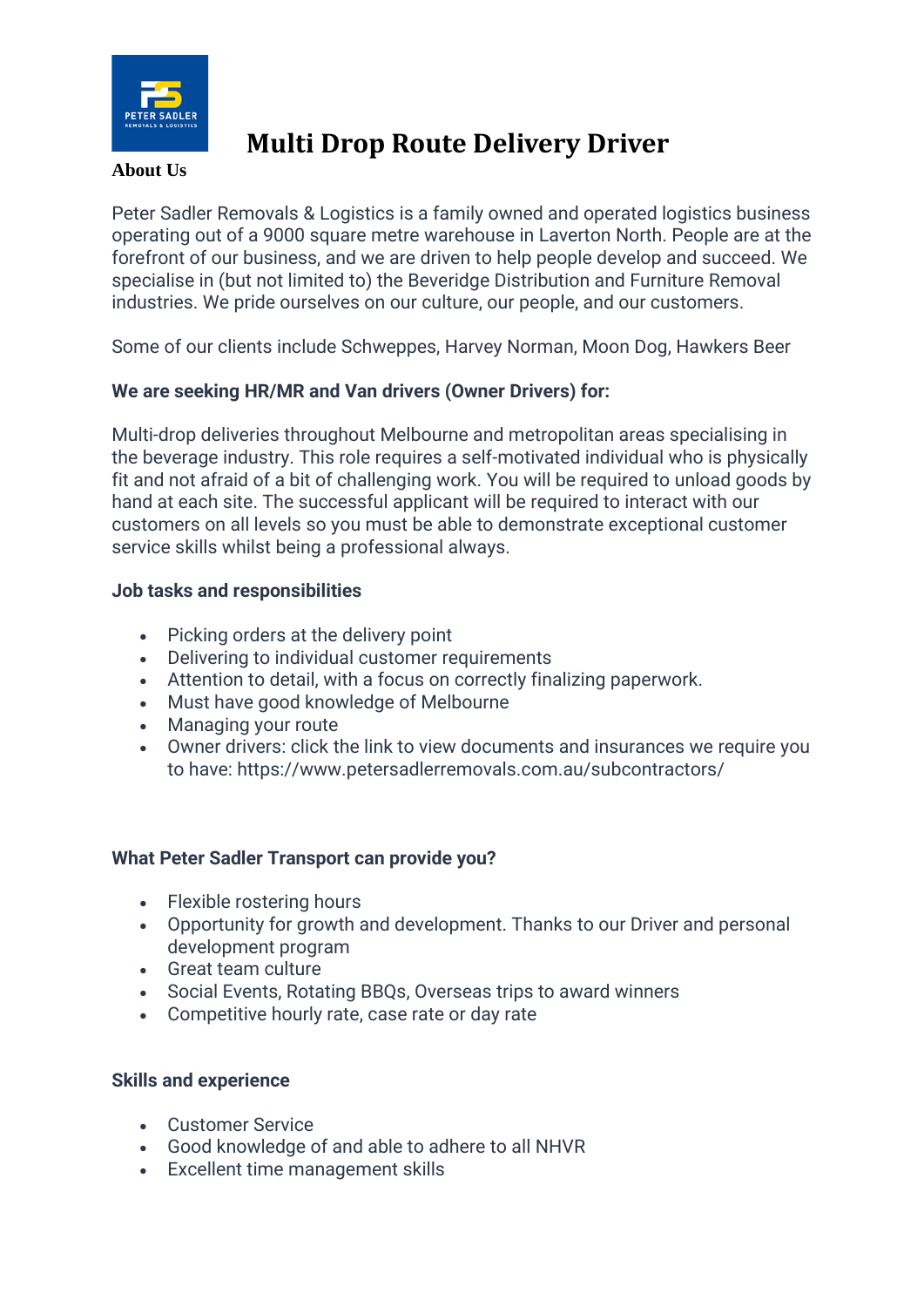

# **Multi Drop Route Delivery Driver**

#### **About Us**

Peter Sadler Removals & Logistics is a family owned and operated logistics business operating out of a 9000 square metre warehouse in Laverton North. People are at the forefront of our business, and we are driven to help people develop and succeed. We specialise in (but not limited to) the Beveridge Distribution and Furniture Removal industries. We pride ourselves on our culture, our people, and our customers.

Some of our clients include Schweppes, Harvey Norman, Moon Dog, Hawkers Beer

### **We are seeking HR/MR and Van drivers (Owner Drivers) for:**

Multi-drop deliveries throughout Melbourne and metropolitan areas specialising in the beverage industry. This role requires a self-motivated individual who is physically fit and not afraid of a bit of challenging work. You will be required to unload goods by hand at each site. The successful applicant will be required to interact with our customers on all levels so you must be able to demonstrate exceptional customer service skills whilst being a professional always.

### **Job tasks and responsibilities**

- Picking orders at the delivery point
- Delivering to individual customer requirements
- Attention to detail, with a focus on correctly finalizing paperwork.
- Must have good knowledge of Melbourne
- Managing your route
- Owner drivers: click the link to view documents and insurances we require you to have: https://www.petersadlerremovals.com.au/subcontractors/

### **What Peter Sadler Transport can provide you?**

- Flexible rostering hours
- Opportunity for growth and development. Thanks to our Driver and personal development program
- Great team culture
- Social Events, Rotating BBQs, Overseas trips to award winners
- Competitive hourly rate, case rate or day rate

### **Skills and experience**

- Customer Service
- Good knowledge of and able to adhere to all NHVR
- Excellent time management skills